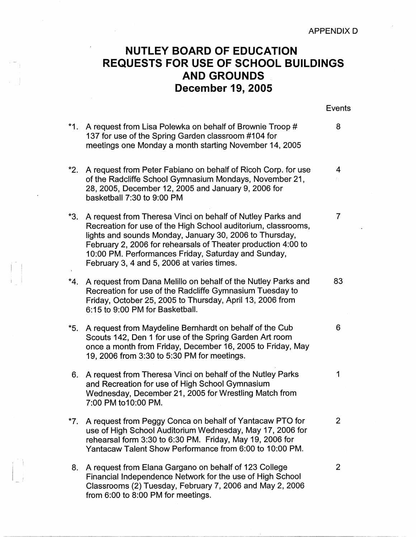APPENDIX D

## **NUTLEY BOARD OF EDUCATION REQUESTS FOR USE OF SCHOOL BUILDINGS AND GROUNDS December 19, 2005**

|       |                                                                                                                                                                                                                                                                                                                                                              | <b>Events</b> |
|-------|--------------------------------------------------------------------------------------------------------------------------------------------------------------------------------------------------------------------------------------------------------------------------------------------------------------------------------------------------------------|---------------|
|       | *1. A request from Lisa Polewka on behalf of Brownie Troop #<br>137 for use of the Spring Garden classroom #104 for<br>meetings one Monday a month starting November 14, 2005                                                                                                                                                                                | 8             |
| *2.   | A request from Peter Fabiano on behalf of Ricoh Corp. for use<br>of the Radcliffe School Gymnasium Mondays, November 21,<br>28, 2005, December 12, 2005 and January 9, 2006 for<br>basketball 7:30 to 9:00 PM                                                                                                                                                | 4             |
| *3.   | A request from Theresa Vinci on behalf of Nutley Parks and<br>Recreation for use of the High School auditorium, classrooms,<br>lights and sounds Monday, January 30, 2006 to Thursday,<br>February 2, 2006 for rehearsals of Theater production 4:00 to<br>10:00 PM. Performances Friday, Saturday and Sunday,<br>February 3, 4 and 5, 2006 at varies times. | 7             |
|       | *4. A request from Dana Melillo on behalf of the Nutley Parks and<br>Recreation for use of the Radcliffe Gymnasium Tuesday to<br>Friday, October 25, 2005 to Thursday, April 13, 2006 from<br>6:15 to 9:00 PM for Basketball.                                                                                                                                | 83            |
| $*5.$ | A request from Maydeline Bernhardt on behalf of the Cub<br>Scouts 142, Den 1 for use of the Spring Garden Art room<br>once a month from Friday, December 16, 2005 to Friday, May<br>19, 2006 from 3:30 to 5:30 PM for meetings.                                                                                                                              | 6             |
| 6.    | A request from Theresa Vinci on behalf of the Nutley Parks<br>and Recreation for use of High School Gymnasium<br>Wednesday, December 21, 2005 for Wrestling Match from<br>7:00 PM to10:00 PM.                                                                                                                                                                | 1             |
|       | *7. A request from Peggy Conca on behalf of Yantacaw PTO for<br>use of High School Auditorium Wednesday, May 17, 2006 for<br>rehearsal form 3:30 to 6:30 PM. Friday, May 19, 2006 for<br>Yantacaw Talent Show Performance from 6:00 to 10:00 PM.                                                                                                             | 2             |
| 8.    | A request from Elana Gargano on behalf of 123 College<br>Financial Independence Network for the use of High School<br>Classrooms (2) Tuesday, February 7, 2006 and May 2, 2006<br>from 6:00 to 8:00 PM for meetings.                                                                                                                                         | 2             |